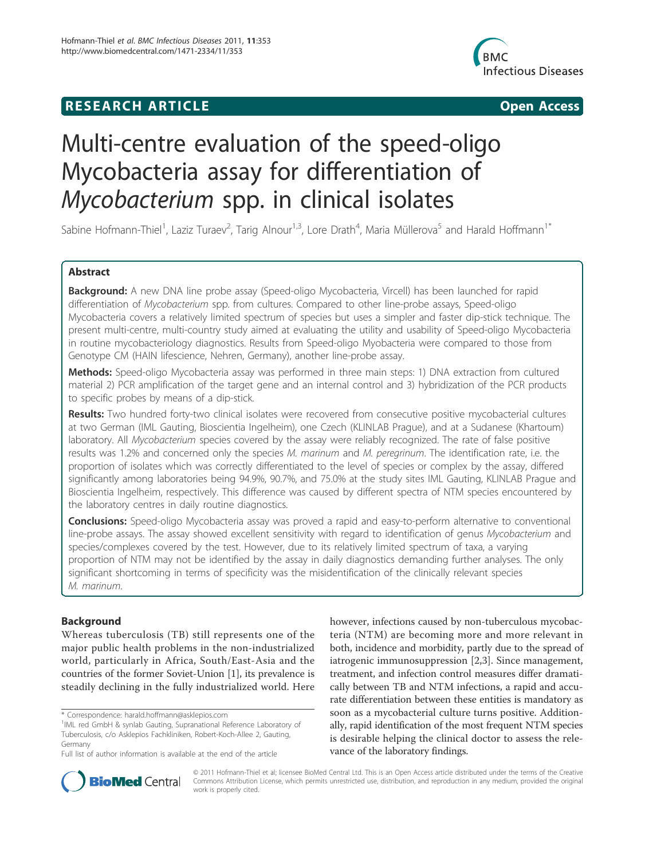## **RESEARCH ARTICLE Example 2014 CONSUMING ACCESS**



# Multi-centre evaluation of the speed-oligo Mycobacteria assay for differentiation of Mycobacterium spp. in clinical isolates

Sabine Hofmann-Thiel<sup>1</sup>, Laziz Turaev<sup>2</sup>, Tarig Alnour<sup>1,3</sup>, Lore Drath<sup>4</sup>, Maria Müllerova<sup>5</sup> and Harald Hoffmann<sup>1\*</sup>

## Abstract

Background: A new DNA line probe assay (Speed-oligo Mycobacteria, Vircell) has been launched for rapid differentiation of Mycobacterium spp. from cultures. Compared to other line-probe assays, Speed-oligo Mycobacteria covers a relatively limited spectrum of species but uses a simpler and faster dip-stick technique. The present multi-centre, multi-country study aimed at evaluating the utility and usability of Speed-oligo Mycobacteria in routine mycobacteriology diagnostics. Results from Speed-oligo Myobacteria were compared to those from Genotype CM (HAIN lifescience, Nehren, Germany), another line-probe assay.

Methods: Speed-oligo Mycobacteria assay was performed in three main steps: 1) DNA extraction from cultured material 2) PCR amplification of the target gene and an internal control and 3) hybridization of the PCR products to specific probes by means of a dip-stick.

Results: Two hundred forty-two clinical isolates were recovered from consecutive positive mycobacterial cultures at two German (IML Gauting, Bioscientia Ingelheim), one Czech (KLINLAB Prague), and at a Sudanese (Khartoum) laboratory. All Mycobacterium species covered by the assay were reliably recognized. The rate of false positive results was 1.2% and concerned only the species M. marinum and M. peregrinum. The identification rate, i.e. the proportion of isolates which was correctly differentiated to the level of species or complex by the assay, differed significantly among laboratories being 94.9%, 90.7%, and 75.0% at the study sites IML Gauting, KLINLAB Prague and Bioscientia Ingelheim, respectively. This difference was caused by different spectra of NTM species encountered by the laboratory centres in daily routine diagnostics.

**Conclusions:** Speed-oligo Mycobacteria assay was proved a rapid and easy-to-perform alternative to conventional line-probe assays. The assay showed excellent sensitivity with regard to identification of genus Mycobacterium and species/complexes covered by the test. However, due to its relatively limited spectrum of taxa, a varying proportion of NTM may not be identified by the assay in daily diagnostics demanding further analyses. The only significant shortcoming in terms of specificity was the misidentification of the clinically relevant species M. marinum.

## Background

Whereas tuberculosis (TB) still represents one of the major public health problems in the non-industrialized world, particularly in Africa, South/East-Asia and the countries of the former Soviet-Union [1], its prevalence is steadily declining in the fully industrialized world. Here

\* Correspondence: harald.hoffmann@asklepios.com

however, infections caused by non-tuberculous mycobacteria (NTM) are becoming more and more relevant in both, incidence and morbidity, partly due to the spread of iatrogenic immunosuppression [2,3]. Since management, treatment, and infection control measures differ dramatically between TB and NTM infections, a rapid and accurate differentiation between these entities is mandatory as soon as a mycobacterial culture turns positive. Additionally, rapid identification of the most frequent NTM species is desirable helping the clinical doctor to assess the relevance of the laboratory findings.



© 2011 Hofmann-Thiel et al; licensee BioMed Central Ltd. This is an Open Access article distributed under the terms of the Creative Commons Attribution License, which permits unrestricted use, distribution, and reproduction in any medium, provided the original work is properly cited.

<sup>&</sup>lt;sup>1</sup>IML red GmbH & synlab Gauting, Supranational Reference Laboratory of Tuberculosis, c/o Asklepios Fachkliniken, Robert-Koch-Allee 2, Gauting, Germany

Full list of author information is available at the end of the article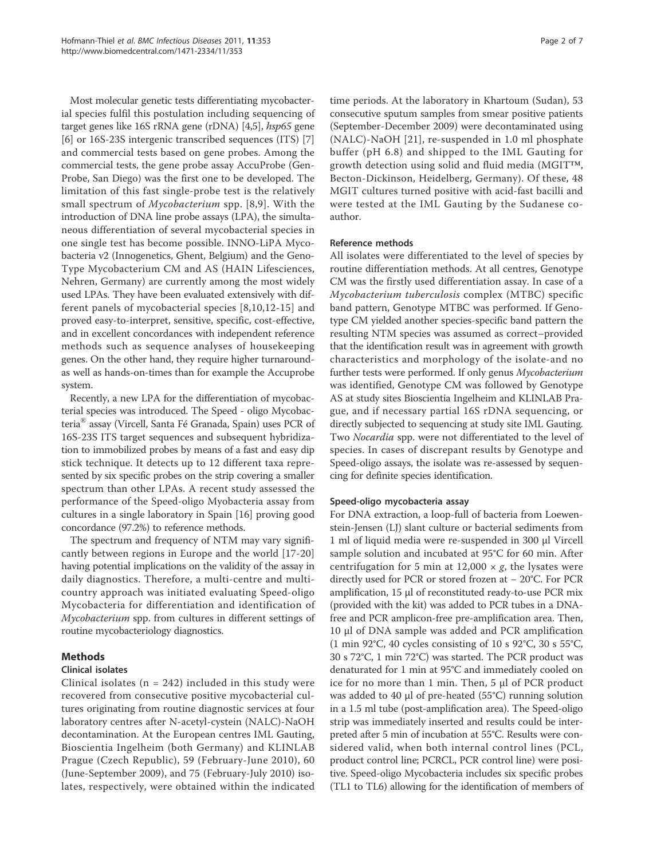Most molecular genetic tests differentiating mycobacterial species fulfil this postulation including sequencing of target genes like 16S rRNA gene (rDNA) [4,5], hsp65 gene [6] or 16S-23S intergenic transcribed sequences (ITS) [7] and commercial tests based on gene probes. Among the commercial tests, the gene probe assay AccuProbe (Gen-Probe, San Diego) was the first one to be developed. The limitation of this fast single-probe test is the relatively small spectrum of Mycobacterium spp. [8,9]. With the introduction of DNA line probe assays (LPA), the simultaneous differentiation of several mycobacterial species in one single test has become possible. INNO-LiPA Mycobacteria v2 (Innogenetics, Ghent, Belgium) and the Geno-Type Mycobacterium CM and AS (HAIN Lifesciences, Nehren, Germany) are currently among the most widely used LPAs. They have been evaluated extensively with different panels of mycobacterial species [8,10,12-15] and proved easy-to-interpret, sensitive, specific, cost-effective, and in excellent concordances with independent reference methods such as sequence analyses of housekeeping genes. On the other hand, they require higher turnaroundas well as hands-on-times than for example the Accuprobe system.

Recently, a new LPA for the differentiation of mycobacterial species was introduced. The Speed - oligo Mycobacteria® assay (Vircell, Santa Fé Granada, Spain) uses PCR of 16S-23S ITS target sequences and subsequent hybridization to immobilized probes by means of a fast and easy dip stick technique. It detects up to 12 different taxa represented by six specific probes on the strip covering a smaller spectrum than other LPAs. A recent study assessed the performance of the Speed-oligo Myobacteria assay from cultures in a single laboratory in Spain [16] proving good concordance (97.2%) to reference methods.

The spectrum and frequency of NTM may vary significantly between regions in Europe and the world [17-20] having potential implications on the validity of the assay in daily diagnostics. Therefore, a multi-centre and multicountry approach was initiated evaluating Speed-oligo Mycobacteria for differentiation and identification of Mycobacterium spp. from cultures in different settings of routine mycobacteriology diagnostics.

## Methods

## Clinical isolates

Clinical isolates ( $n = 242$ ) included in this study were recovered from consecutive positive mycobacterial cultures originating from routine diagnostic services at four laboratory centres after N-acetyl-cystein (NALC)-NaOH decontamination. At the European centres IML Gauting, Bioscientia Ingelheim (both Germany) and KLINLAB Prague (Czech Republic), 59 (February-June 2010), 60 (June-September 2009), and 75 (February-July 2010) isolates, respectively, were obtained within the indicated

time periods. At the laboratory in Khartoum (Sudan), 53 consecutive sputum samples from smear positive patients (September-December 2009) were decontaminated using (NALC)-NaOH [21], re-suspended in 1.0 ml phosphate buffer (pH 6.8) and shipped to the IML Gauting for growth detection using solid and fluid media (MGIT™, Becton-Dickinson, Heidelberg, Germany). Of these, 48 MGIT cultures turned positive with acid-fast bacilli and were tested at the IML Gauting by the Sudanese coauthor.

## Reference methods

All isolates were differentiated to the level of species by routine differentiation methods. At all centres, Genotype CM was the firstly used differentiation assay. In case of a Mycobacterium tuberculosis complex (MTBC) specific band pattern, Genotype MTBC was performed. If Genotype CM yielded another species-specific band pattern the resulting NTM species was assumed as correct–provided that the identification result was in agreement with growth characteristics and morphology of the isolate-and no further tests were performed. If only genus Mycobacterium was identified, Genotype CM was followed by Genotype AS at study sites Bioscientia Ingelheim and KLINLAB Prague, and if necessary partial 16S rDNA sequencing, or directly subjected to sequencing at study site IML Gauting. Two Nocardia spp. were not differentiated to the level of species. In cases of discrepant results by Genotype and Speed-oligo assays, the isolate was re-assessed by sequencing for definite species identification.

## Speed-oligo mycobacteria assay

For DNA extraction, a loop-full of bacteria from Loewenstein-Jensen (LJ) slant culture or bacterial sediments from 1 ml of liquid media were re-suspended in 300 μl Vircell sample solution and incubated at 95°C for 60 min. After centrifugation for 5 min at 12,000  $\times$  g, the lysates were directly used for PCR or stored frozen at − 20°C. For PCR amplification, 15 μl of reconstituted ready-to-use PCR mix (provided with the kit) was added to PCR tubes in a DNAfree and PCR amplicon-free pre-amplification area. Then, 10 μl of DNA sample was added and PCR amplification (1 min 92°C, 40 cycles consisting of 10 s 92°C, 30 s 55°C, 30 s 72°C, 1 min 72°C) was started. The PCR product was denaturated for 1 min at 95°C and immediately cooled on ice for no more than 1 min. Then, 5 μl of PCR product was added to 40 μl of pre-heated (55°C) running solution in a 1.5 ml tube (post-amplification area). The Speed-oligo strip was immediately inserted and results could be interpreted after 5 min of incubation at 55°C. Results were considered valid, when both internal control lines (PCL, product control line; PCRCL, PCR control line) were positive. Speed-oligo Mycobacteria includes six specific probes (TL1 to TL6) allowing for the identification of members of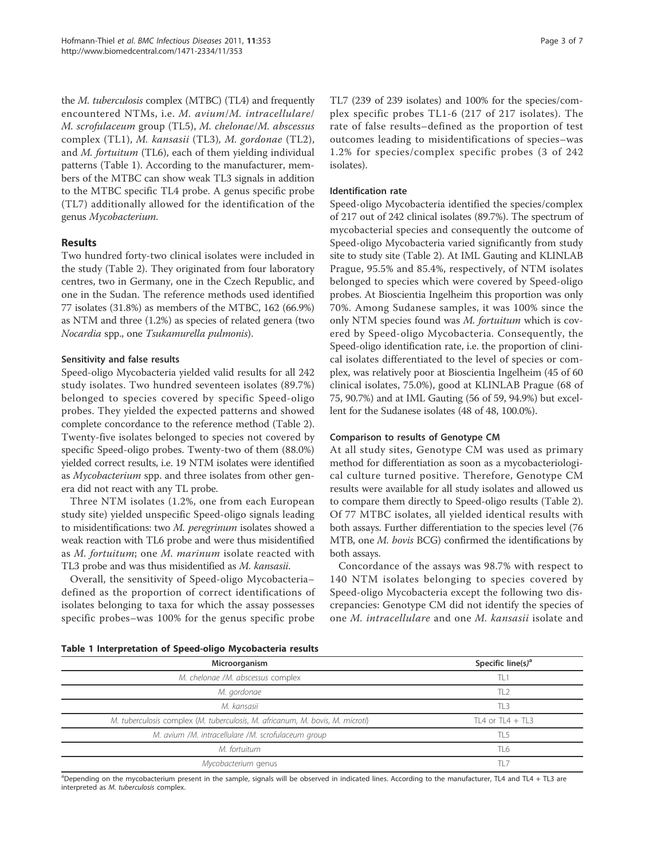the M. tuberculosis complex (MTBC) (TL4) and frequently encountered NTMs, i.e. M. avium/M. intracellulare/ M. scrofulaceum group (TL5), M. chelonae/M. abscessus complex (TL1), M. kansasii (TL3), M. gordonae (TL2), and M. fortuitum (TL6), each of them yielding individual patterns (Table 1). According to the manufacturer, members of the MTBC can show weak TL3 signals in addition to the MTBC specific TL4 probe. A genus specific probe (TL7) additionally allowed for the identification of the genus Mycobacterium.

## Results

Two hundred forty-two clinical isolates were included in the study (Table 2). They originated from four laboratory centres, two in Germany, one in the Czech Republic, and one in the Sudan. The reference methods used identified 77 isolates (31.8%) as members of the MTBC, 162 (66.9%) as NTM and three (1.2%) as species of related genera (two Nocardia spp., one Tsukamurella pulmonis).

## Sensitivity and false results

Speed-oligo Mycobacteria yielded valid results for all 242 study isolates. Two hundred seventeen isolates (89.7%) belonged to species covered by specific Speed-oligo probes. They yielded the expected patterns and showed complete concordance to the reference method (Table 2). Twenty-five isolates belonged to species not covered by specific Speed-oligo probes. Twenty-two of them (88.0%) yielded correct results, i.e. 19 NTM isolates were identified as Mycobacterium spp. and three isolates from other genera did not react with any TL probe.

Three NTM isolates (1.2%, one from each European study site) yielded unspecific Speed-oligo signals leading to misidentifications: two M. peregrinum isolates showed a weak reaction with TL6 probe and were thus misidentified as M. fortuitum; one M. marinum isolate reacted with TL3 probe and was thus misidentified as M. kansasii.

Overall, the sensitivity of Speed-oligo Mycobacteria– defined as the proportion of correct identifications of isolates belonging to taxa for which the assay possesses specific probes–was 100% for the genus specific probe TL7 (239 of 239 isolates) and 100% for the species/complex specific probes TL1-6 (217 of 217 isolates). The rate of false results–defined as the proportion of test outcomes leading to misidentifications of species–was 1.2% for species/complex specific probes (3 of 242 isolates).

## Identification rate

Speed-oligo Mycobacteria identified the species/complex of 217 out of 242 clinical isolates (89.7%). The spectrum of mycobacterial species and consequently the outcome of Speed-oligo Mycobacteria varied significantly from study site to study site (Table 2). At IML Gauting and KLINLAB Prague, 95.5% and 85.4%, respectively, of NTM isolates belonged to species which were covered by Speed-oligo probes. At Bioscientia Ingelheim this proportion was only 70%. Among Sudanese samples, it was 100% since the only NTM species found was M. fortuitum which is covered by Speed-oligo Mycobacteria. Consequently, the Speed-oligo identification rate, i.e. the proportion of clinical isolates differentiated to the level of species or complex, was relatively poor at Bioscientia Ingelheim (45 of 60 clinical isolates, 75.0%), good at KLINLAB Prague (68 of 75, 90.7%) and at IML Gauting (56 of 59, 94.9%) but excellent for the Sudanese isolates (48 of 48, 100.0%).

## Comparison to results of Genotype CM

At all study sites, Genotype CM was used as primary method for differentiation as soon as a mycobacteriological culture turned positive. Therefore, Genotype CM results were available for all study isolates and allowed us to compare them directly to Speed-oligo results (Table 2). Of 77 MTBC isolates, all yielded identical results with both assays. Further differentiation to the species level (76 MTB, one *M. bovis* BCG) confirmed the identifications by both assays.

Concordance of the assays was 98.7% with respect to 140 NTM isolates belonging to species covered by Speed-oligo Mycobacteria except the following two discrepancies: Genotype CM did not identify the species of one M. intracellulare and one M. kansasii isolate and

|  |  |  |  |  |  |  |  |  | Table 1 Interpretation of Speed-oligo Mycobacteria results |  |
|--|--|--|--|--|--|--|--|--|------------------------------------------------------------|--|
|--|--|--|--|--|--|--|--|--|------------------------------------------------------------|--|

| $\tilde{\phantom{a}}$<br>Microorganism                                        | Specific line(s) <sup>a</sup> |  |  |
|-------------------------------------------------------------------------------|-------------------------------|--|--|
| M. chelonae /M. abscessus complex                                             |                               |  |  |
| M. gordonae                                                                   | TI 2                          |  |  |
| M. kansasii                                                                   | TI 3                          |  |  |
| M. tuberculosis complex (M. tuberculosis, M. africanum, M. bovis, M. microti) | TL4 or TL4 $+$ TL3            |  |  |
| M. avium /M. intracellulare /M. scrofulaceum group                            | 115                           |  |  |
| M. fortuitum                                                                  | TI 6                          |  |  |
| Mycobacterium genus                                                           |                               |  |  |

<sup>a</sup>Depending on the mycobacterium present in the sample, signals will be observed in indicated lines. According to the manufacturer, TL4 and TL4 + TL3 are interpreted as M. tuberculosis complex.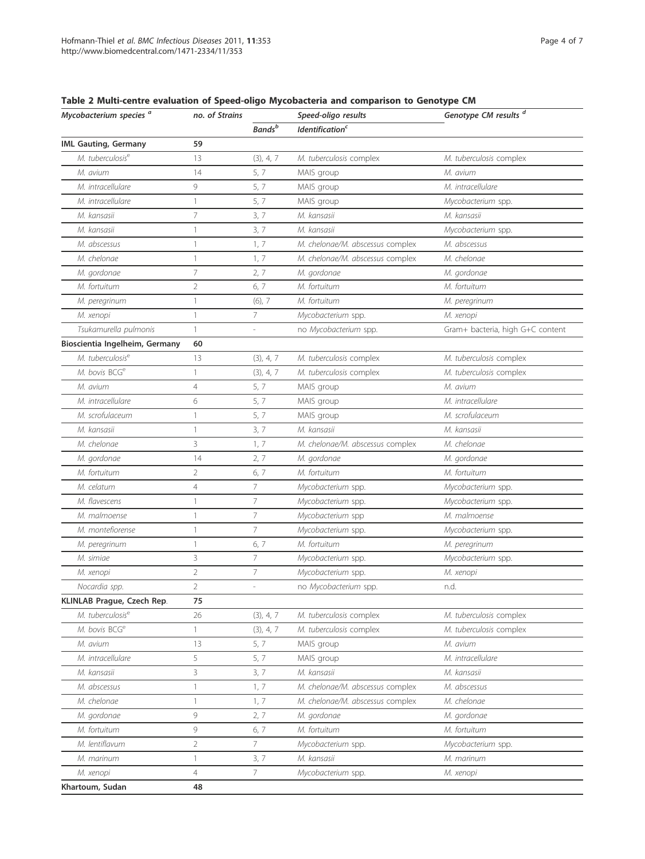| Mycobacterium species <sup>a</sup> | no. of Strains |                           | Speed-oligo results               | Genotype CM results <sup>d</sup> |  |
|------------------------------------|----------------|---------------------------|-----------------------------------|----------------------------------|--|
|                                    |                | <b>Bands</b> <sup>b</sup> | <b>Identification<sup>c</sup></b> |                                  |  |
| <b>IML Gauting, Germany</b>        | 59             |                           |                                   |                                  |  |
| M. tuberculosis <sup>e</sup>       | 13             | (3), 4, 7                 | M. tuberculosis complex           | M. tuberculosis complex          |  |
| M. avium                           | 14             | 5, 7                      | MAIS group                        | M. avium                         |  |
| M. intracellulare                  | 9              | 5, 7                      | MAIS group                        | M. intracellulare                |  |
| M. intracellulare                  | $\mathbf{1}$   | 5, 7                      | MAIS group                        | Mycobacterium spp.               |  |
| M. kansasii                        | 7              | 3, 7                      | M. kansasii                       | M. kansasii                      |  |
| M. kansasii                        | 1              | 3, 7                      | M. kansasii                       | Mycobacterium spp.               |  |
| M. abscessus                       | $\mathbf{1}$   | 1, 7                      | M. chelonae/M. abscessus complex  | M. abscessus                     |  |
| M. chelonae                        | $\mathbf{1}$   | 1, 7                      | M. chelonae/M. abscessus complex  | M. chelonae                      |  |
| M. gordonae                        | 7              | 2, 7                      | M. gordonae                       | M. gordonae                      |  |
| M. fortuitum                       | $\overline{2}$ | 6, 7                      | M. fortuitum                      | M. fortuitum                     |  |
| M. peregrinum                      | 1              | $(6)$ , 7                 | M. fortuitum                      | M. peregrinum                    |  |
| М. хепорі                          | $\mathbf{1}$   | 7                         | Mycobacterium spp.                | М. хепорі                        |  |
| Tsukamurella pulmonis              | $\mathbf{1}$   | $\overline{\phantom{a}}$  | no Mycobacterium spp.             | Gram+ bacteria, high G+C content |  |
| Bioscientia Ingelheim, Germany     | 60             |                           |                                   |                                  |  |
| M. tuberculosis <sup>e</sup>       | 13             | (3), 4, 7                 | M. tuberculosis complex           | M. tuberculosis complex          |  |
| M. bovis BCG <sup>e</sup>          | $\mathbf{1}$   | (3), 4, 7                 | M. tuberculosis complex           | M. tuberculosis complex          |  |
| M. avium                           | $\overline{4}$ | 5, 7                      | MAIS group                        | M. avium                         |  |
| M. intracellulare                  | 6              | 5, 7                      | MAIS group                        | M. intracellulare                |  |
| M. scrofulaceum                    | 1              | 5, 7                      | MAIS group                        | M. scrofulaceum                  |  |
| M. kansasii                        | $\mathbf{1}$   | 3, 7                      | M. kansasii                       | M. kansasii                      |  |
| M. chelonae                        | 3              | 1, 7                      | M. chelonae/M. abscessus complex  | M. chelonae                      |  |
| M. gordonae                        | 14             | 2, 7                      | M. gordonae                       | M. gordonae                      |  |
| M. fortuitum                       | 2              | 6, 7                      | M. fortuitum                      | M. fortuitum                     |  |
| M. celatum                         | $\overline{4}$ | 7                         | Mycobacterium spp.                | Mycobacterium spp.               |  |
| M. flavescens                      | 1              | 7                         | Mycobacterium spp.                | Mycobacterium spp.               |  |
| M. malmoense                       | $\mathbf{1}$   | 7                         | Mycobacterium spp                 | M. malmoense                     |  |
| M. montefiorense                   | $\mathbf{1}$   | 7                         | Mycobacterium spp.                | Mycobacterium spp.               |  |
| M. peregrinum                      | 1              | 6, 7                      | M. fortuitum                      | M. peregrinum                    |  |
| M. simiae                          | 3              | 7                         | Mycobacterium spp.                | Mycobacterium spp.               |  |
| M. xenopi                          | $\overline{2}$ | 7                         | Mycobacterium spp.                | М. хепорі                        |  |
| Nocardia spp.                      | $\overline{2}$ |                           | no Mycobacterium spp.             | n.d.                             |  |
| KLINLAB Prague, Czech Rep.         | 75             |                           |                                   |                                  |  |
| M. tuberculosis <sup>e</sup>       | 26             | (3), 4, 7                 | M. tuberculosis complex           | M. tuberculosis complex          |  |
| M. bovis BCG <sup>e</sup>          | $\mathbf{1}$   | (3), 4, 7                 | M. tuberculosis complex           | M. tuberculosis complex          |  |
| M. avium                           | 13             | 5, 7                      | MAIS group                        | M. avium                         |  |
| M. intracellulare                  | 5              | 5, 7                      | MAIS group                        | M. intracellulare                |  |
| M. kansasii                        | 3              | 3, 7                      | M. kansasii                       | M. kansasii                      |  |
| M. abscessus                       | $\mathbb{1}$   | 1, 7                      | M. chelonae/M. abscessus complex  | M. abscessus                     |  |
| M. chelonae                        | $\mathbf{1}$   | 1, 7                      | M. chelonae/M. abscessus complex  | M. chelonae                      |  |
| M. gordonae                        | 9              | 2, 7                      | M. gordonae                       | M. gordonae                      |  |
| M. fortuitum                       | 9              | 6, 7                      | M. fortuitum                      | M. fortuitum                     |  |
| M. lentiflavum                     | $\overline{2}$ | 7                         | Mycobacterium spp.                | Mycobacterium spp.               |  |
| M. marinum                         | $\mathbf{1}$   | 3, 7                      | M. kansasii                       | M. marinum                       |  |
| M. xenopi                          | $\overline{4}$ | 7                         | Mycobacterium spp.                | M. xenopi                        |  |
| Khartoum, Sudan                    | 48             |                           |                                   |                                  |  |

## Table 2 Multi-centre evaluation of Speed-oligo Mycobacteria and comparison to Genotype CM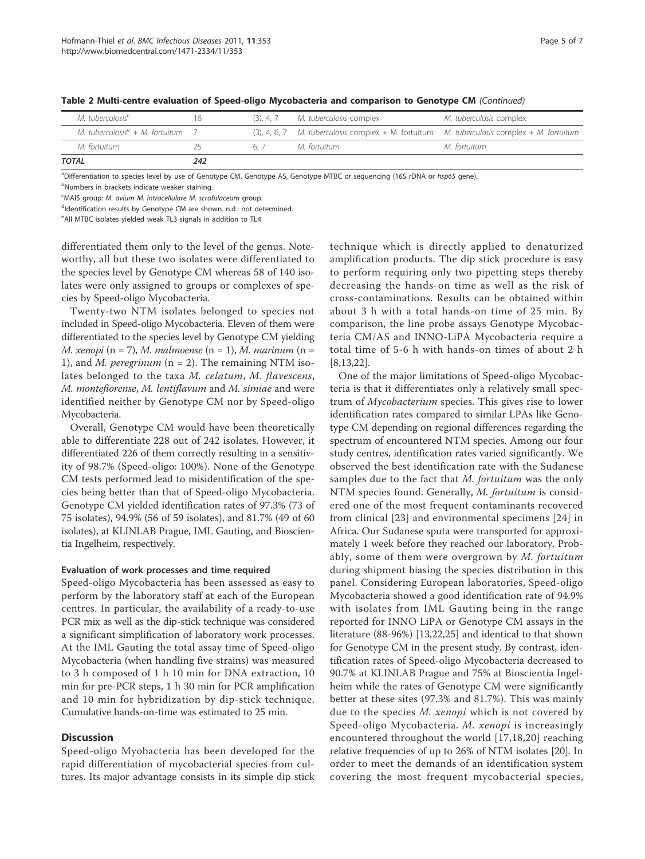| M. tuberculosis <sup>e</sup>                |     | $(3)$ , 4, 7 | M. tuberculosis complex                                                                       | M. tuberculosis complex |
|---------------------------------------------|-----|--------------|-----------------------------------------------------------------------------------------------|-------------------------|
| M. tuberculosis <sup>e</sup> + M. fortuitum |     |              | $(3)$ , 4, 6, 7 M. tuberculosis complex + M. fortuitum M. tuberculosis complex + M. fortuitum |                         |
| M. fortuitum                                |     | 61           | M. fortuitum                                                                                  | M. fortuitum            |
| <b>TOTAL</b>                                | 242 |              |                                                                                               |                         |

Table 2 Multi-centre evaluation of Speed-oligo Mycobacteria and comparison to Genotype CM (Continued)

aDifferentiation to species level by use of Genotype CM, Genotype AS, Genotype MTBC or sequencing (16S rDNA or hsp65 gene).

<sup>b</sup>Numbers in brackets indicate weaker staining.

<sup>c</sup>MAIS group: M. avium M. intracellulare M. scrofulaceum group.

dIdentification results by Genotype CM are shown. n.d.: not determined.

e All MTBC isolates yielded weak TL3 signals in addition to TL4

differentiated them only to the level of the genus. Noteworthy, all but these two isolates were differentiated to the species level by Genotype CM whereas 58 of 140 isolates were only assigned to groups or complexes of species by Speed-oligo Mycobacteria.

Twenty-two NTM isolates belonged to species not included in Speed-oligo Mycobacteria. Eleven of them were differentiated to the species level by Genotype CM yielding M. xenopi (n = 7), M. malmoense (n = 1), M. marinum (n = 1), and *M. peregrinum* ( $n = 2$ ). The remaining NTM isolates belonged to the taxa M. celatum, M. flavescens, M. montefiorense, M. lentiflavum and M. simiae and were identified neither by Genotype CM nor by Speed-oligo Mycobacteria.

Overall, Genotype CM would have been theoretically able to differentiate 228 out of 242 isolates. However, it differentiated 226 of them correctly resulting in a sensitivity of 98.7% (Speed-oligo: 100%). None of the Genotype CM tests performed lead to misidentification of the species being better than that of Speed-oligo Mycobacteria. Genotype CM yielded identification rates of 97.3% (73 of 75 isolates), 94.9% (56 of 59 isolates), and 81.7% (49 of 60 isolates), at KLINLAB Prague, IML Gauting, and Bioscientia Ingelheim, respectively.

#### Evaluation of work processes and time required

Speed-oligo Mycobacteria has been assessed as easy to perform by the laboratory staff at each of the European centres. In particular, the availability of a ready-to-use PCR mix as well as the dip-stick technique was considered a significant simplification of laboratory work processes. At the IML Gauting the total assay time of Speed-oligo Mycobacteria (when handling five strains) was measured to 3 h composed of 1 h 10 min for DNA extraction, 10 min for pre-PCR steps, 1 h 30 min for PCR amplification and 10 min for hybridization by dip-stick technique. Cumulative hands-on-time was estimated to 25 min.

## **Discussion**

Speed-oligo Myobacteria has been developed for the rapid differentiation of mycobacterial species from cultures. Its major advantage consists in its simple dip stick

technique which is directly applied to denaturized amplification products. The dip stick procedure is easy to perform requiring only two pipetting steps thereby decreasing the hands-on time as well as the risk of cross-contaminations. Results can be obtained within about 3 h with a total hands-on time of 25 min. By comparison, the line probe assays Genotype Mycobacteria CM/AS and INNO-LiPA Mycobacteria require a total time of 5-6 h with hands-on times of about 2 h [8,13,22].

One of the major limitations of Speed-oligo Mycobacteria is that it differentiates only a relatively small spectrum of Mycobacterium species. This gives rise to lower identification rates compared to similar LPAs like Genotype CM depending on regional differences regarding the spectrum of encountered NTM species. Among our four study centres, identification rates varied significantly. We observed the best identification rate with the Sudanese samples due to the fact that M. fortuitum was the only NTM species found. Generally, M. fortuitum is considered one of the most frequent contaminants recovered from clinical [23] and environmental specimens [24] in Africa. Our Sudanese sputa were transported for approximately 1 week before they reached our laboratory. Probably, some of them were overgrown by *M. fortuitum* during shipment biasing the species distribution in this panel. Considering European laboratories, Speed-oligo Mycobacteria showed a good identification rate of 94.9% with isolates from IML Gauting being in the range reported for INNO LiPA or Genotype CM assays in the literature (88-96%) [13,22,25] and identical to that shown for Genotype CM in the present study. By contrast, identification rates of Speed-oligo Mycobacteria decreased to 90.7% at KLINLAB Prague and 75% at Bioscientia Ingelheim while the rates of Genotype CM were significantly better at these sites (97.3% and 81.7%). This was mainly due to the species M. xenopi which is not covered by Speed-oligo Mycobacteria. M. xenopi is increasingly encountered throughout the world [17,18,20] reaching relative frequencies of up to 26% of NTM isolates [20]. In order to meet the demands of an identification system covering the most frequent mycobacterial species,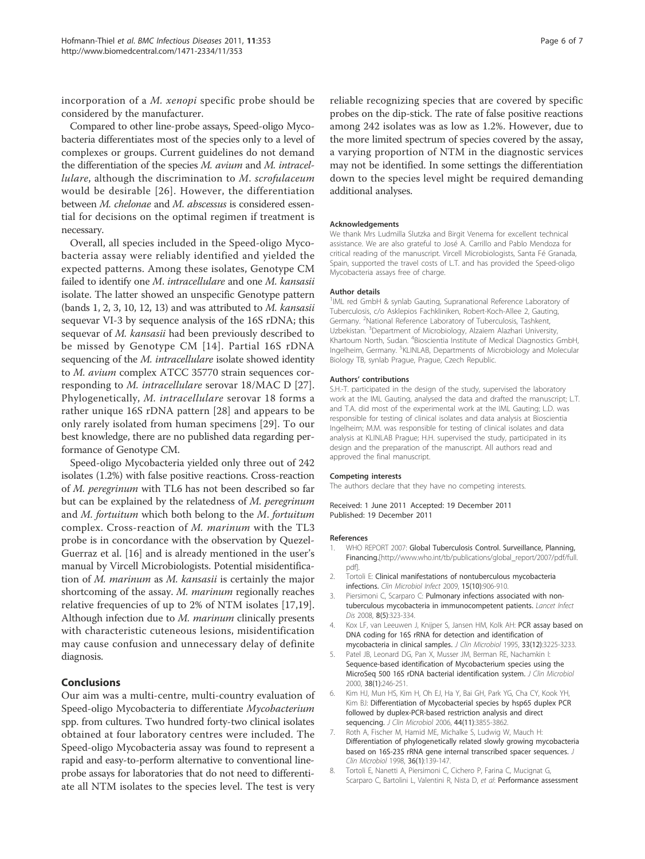incorporation of a M. xenopi specific probe should be considered by the manufacturer.

Compared to other line-probe assays, Speed-oligo Mycobacteria differentiates most of the species only to a level of complexes or groups. Current guidelines do not demand the differentiation of the species M. avium and M. intracel $lulate$ , although the discrimination to  $M.$  scrofulaceum would be desirable [26]. However, the differentiation between M. chelonae and M. abscessus is considered essential for decisions on the optimal regimen if treatment is necessary.

Overall, all species included in the Speed-oligo Mycobacteria assay were reliably identified and yielded the expected patterns. Among these isolates, Genotype CM failed to identify one M. intracellulare and one M. kansasii isolate. The latter showed an unspecific Genotype pattern (bands  $1, 2, 3, 10, 12, 13$ ) and was attributed to  $M$ . kansasii sequevar VI-3 by sequence analysis of the 16S rDNA; this sequevar of *M. kansasii* had been previously described to be missed by Genotype CM [14]. Partial 16S rDNA sequencing of the *M. intracellulare* isolate showed identity to M. avium complex ATCC 35770 strain sequences corresponding to M. intracellulare serovar 18/MAC D [27]. Phylogenetically, M. intracellulare serovar 18 forms a rather unique 16S rDNA pattern [28] and appears to be only rarely isolated from human specimens [29]. To our best knowledge, there are no published data regarding performance of Genotype CM.

Speed-oligo Mycobacteria yielded only three out of 242 isolates (1.2%) with false positive reactions. Cross-reaction of M. peregrinum with TL6 has not been described so far but can be explained by the relatedness of M. peregrinum and M. fortuitum which both belong to the M. fortuitum complex. Cross-reaction of M. marinum with the TL3 probe is in concordance with the observation by Quezel-Guerraz et al. [16] and is already mentioned in the user's manual by Vircell Microbiologists. Potential misidentification of M. marinum as M. kansasii is certainly the major shortcoming of the assay. M. marinum regionally reaches relative frequencies of up to 2% of NTM isolates [17,19]. Although infection due to *M. marinum* clinically presents with characteristic cuteneous lesions, misidentification may cause confusion and unnecessary delay of definite diagnosis.

## Conclusions

Our aim was a multi-centre, multi-country evaluation of Speed-oligo Mycobacteria to differentiate Mycobacterium spp. from cultures. Two hundred forty-two clinical isolates obtained at four laboratory centres were included. The Speed-oligo Mycobacteria assay was found to represent a rapid and easy-to-perform alternative to conventional lineprobe assays for laboratories that do not need to differentiate all NTM isolates to the species level. The test is very

reliable recognizing species that are covered by specific probes on the dip-stick. The rate of false positive reactions among 242 isolates was as low as 1.2%. However, due to the more limited spectrum of species covered by the assay, a varying proportion of NTM in the diagnostic services may not be identified. In some settings the differentiation down to the species level might be required demanding additional analyses.

#### Acknowledgements

We thank Mrs Ludmilla Slutzka and Birgit Venema for excellent technical assistance. We are also grateful to José A. Carrillo and Pablo Mendoza for critical reading of the manuscript. Vircell Microbiologists, Santa Fé Granada, Spain, supported the travel costs of L.T. and has provided the Speed-oligo Mycobacteria assays free of charge.

#### Author details

<sup>1</sup>IML red GmbH & synlab Gauting, Supranational Reference Laboratory of Tuberculosis, c/o Asklepios Fachkliniken, Robert-Koch-Allee 2, Gauting, Germany. <sup>2</sup>National Reference Laboratory of Tuberculosis, Tashkent Uzbekistan. <sup>3</sup>Department of Microbiology, Alzaiem Alazhari University, Khartoum North, Sudan. <sup>4</sup> Bioscientia Institute of Medical Diagnostics GmbH Ingelheim, Germany. <sup>5</sup>KLINLAB, Departments of Microbiology and Molecular Biology TB, synlab Prague, Prague, Czech Republic.

#### Authors' contributions

S.H.-T. participated in the design of the study, supervised the laboratory work at the IML Gauting, analysed the data and drafted the manuscript; L.T. and T.A. did most of the experimental work at the IML Gauting; L.D. was responsible for testing of clinical isolates and data analysis at Bioscientia Ingelheim; M.M. was responsible for testing of clinical isolates and data analysis at KLINLAB Prague; H.H. supervised the study, participated in its design and the preparation of the manuscript. All authors read and approved the final manuscript.

#### Competing interests

The authors declare that they have no competing interests.

Received: 1 June 2011 Accepted: 19 December 2011 Published: 19 December 2011

#### References

- WHO REPORT 2007: Global Tuberculosis Control. Surveillance, Planning, Financing.[http://www.who.int/tb/publications/global\_report/2007/pdf/full. pdf].
- 2. Tortoli E: Clinical manifestations of nontuberculous mycobacteria infections. Clin Microbiol Infect 2009, 15(10):906-910.
- 3. Piersimoni C, Scarparo C: Pulmonary infections associated with nontuberculous mycobacteria in immunocompetent patients. Lancet Infect Dis 2008, 8(5):323-334.
- 4. Kox LF, van Leeuwen J, Knijper S, Jansen HM, Kolk AH: PCR assay based on DNA coding for 16S rRNA for detection and identification of mycobacteria in clinical samples. J Clin Microbiol 1995, 33(12):3225-3233.
- 5. Patel JB, Leonard DG, Pan X, Musser JM, Berman RE, Nachamkin I: Sequence-based identification of Mycobacterium species using the MicroSeq 500 16S rDNA bacterial identification system. J Clin Microbiol 2000, 38(1):246-251.
- 6. Kim HJ, Mun HS, Kim H, Oh EJ, Ha Y, Bai GH, Park YG, Cha CY, Kook YH, Kim BJ: Differentiation of Mycobacterial species by hsp65 duplex PCR followed by duplex-PCR-based restriction analysis and direct sequencing. J Clin Microbiol 2006, 44(11):3855-3862.
- 7. Roth A, Fischer M, Hamid ME, Michalke S, Ludwig W, Mauch H: Differentiation of phylogenetically related slowly growing mycobacteria based on 16S-23S rRNA gene internal transcribed spacer sequences. J Clin Microbiol 1998, 36(1):139-147.
- 8. Tortoli E, Nanetti A, Piersimoni C, Cichero P, Farina C, Mucignat G, Scarparo C, Bartolini L, Valentini R, Nista D, et al: Performance assessment